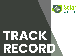



# **TRACK RECORD**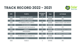#### **TRACK RECORD 2022 - 2021**



| <b>AÑO</b> | <b>PLANTA</b>                     | <b>POTENCIA</b><br>(MW) | <b>PAIS</b>   | <b>ACTIVIDAD</b>                  |
|------------|-----------------------------------|-------------------------|---------------|-----------------------------------|
| 2022       | <b>SALINETES II, ALICANTE</b>     | 5 <sub>5</sub>          | <b>ESPAÑA</b> | <b>EPC</b>                        |
| 2022       | <b>PV ALCADOZO, ALBACETE</b>      |                         | <b>ESPAÑA</b> | <b>EPC</b>                        |
| 2022       | PV ALPERA I, ALBACETE             |                         | <b>ESPAÑA</b> | <b>EPC</b>                        |
| 2022       | <b>PV OLMEDILLA HIVE, CUENCA</b>  | 68                      | <b>ESPAÑA</b> | <b>OBRAS CIVILES Y ELÉCTRICAS</b> |
| 2022       | <b>PV LAS LAGUNAS</b>             | 2,5                     | <b>ESPAÑA</b> | <b>EPC</b>                        |
| 2022       | <b>CONJUNTO DE PF EN PALENCIA</b> | 7,5                     | <b>ESPAÑA</b> | <b>EPC</b>                        |
| 2022       | <b>SABINAR I</b>                  | 50                      | <b>ESPAÑA</b> | <b>OBRAS ELÉCTRICAS Y CIVILES</b> |
| 2022       | <b>MANZANARES</b>                 | 40                      | <b>ESPAÑA</b> | <b>EPC</b>                        |
| 2022       | <b>PICON</b>                      | 150                     | <b>ESPAÑA</b> | <b>MECÁNICO Y ELÉCTRICO</b>       |
| 2022       | PV 500 KW MILAN CLASSIC S.A.      | 0,5                     | <b>ESPAÑA</b> | <b>EPC</b>                        |
| 2022       | <b>FLINSA I</b>                   |                         | <b>ESPAÑA</b> | <b>EPC</b>                        |
| 2022       | <b>FLINSA II</b>                  | $\overline{2}$          | <b>ESPAÑA</b> | <b>EPC</b>                        |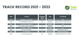#### **TRACK RECORD 2021 - 2022**



| <b>AÑO</b> | <b>PLANTA</b>                 | <b>POTENCIA</b><br>(MW) | <b>PAIS</b>     | <b>ACTIVIDAD</b>                  |
|------------|-------------------------------|-------------------------|-----------------|-----------------------------------|
| 2021       | <b>SALINETES I, ALICANTE</b>  | 5                       | <b>ESPAÑA</b>   | EPC                               |
| 2021       | <b>PV NERTOBRIGA, BADAJOZ</b> | 49                      | <b>ESPAÑA</b>   | <b>OBRAS CIVILES Y ELÉCTRICAS</b> |
| 2021       | <b>PV QUIJOTE, ALBACETE</b>   |                         | <b>ESPAÑA</b>   | <b>EPC</b>                        |
| 2021       | PV CORRAL RUBIO, ALBACETE     |                         | <b>ESPAÑA</b>   | <b>EPC</b>                        |
| 2021       | PV PEÑAS I, ALBACETE          |                         | <b>ESPAÑA</b>   | <b>EPC</b>                        |
| 2021       | <b>PV SAO TEOTONIO</b>        |                         | <b>PORTUGAL</b> | <b>OBRAS ELÉCTRICAS</b>           |
| 2021       | <b>PV ESTEVEIRA</b>           | 24                      | <b>PORTUGAL</b> | <b>OBRAS ELÉCTRICAS</b>           |
| 2021       | <b>PV ICTIO ALCAZAR I</b>     | 25                      | <b>ESPAÑA</b>   | <b>OBRAS ELÉCTRICAS Y CIVILES</b> |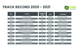#### **TRACK RECORD 2020 - 2021**



| <b>AÑO</b> | <b>PLANTA</b>                    | <b>POTENCIA</b><br>(MW) | <b>PAIS</b>    | <b>ACTIVIDAD</b>                  |
|------------|----------------------------------|-------------------------|----------------|-----------------------------------|
| 2020       | <b>PV CAPRICORNIUS</b>           | 25                      | <b>ESPAÑA</b>  | <b>OBRAS ELÉCTRICAS</b>           |
| 2020       | <b>PV SAN ANTONIO</b>            | 25                      | <b>ESPAÑA</b>  | <b>OBRAS CIVILES Y ELÉCTRICAS</b> |
| 2020       | PV PICON I, PICON II y PICON III | 150                     | <b>ESPAÑA</b>  | <b>OBRAS CIVILES</b>              |
| 2020       | <b>MEL PSF SOUTERRAINE</b>       | 3                       | <b>FRANCIA</b> | <b>OBRAS ELÉCTRICAS</b>           |
| 2020       | <b>PV LA CABRERA, SEVILLA</b>    | 150                     | <b>ESPAÑA</b>  | <b>OBRAS ELÉCTRICAS</b>           |
| 2020       | <b>PV JIJONA</b>                 | 25                      | <b>FRANCIA</b> | <b>OBRAS ELÉCTRICAS</b>           |
| 2020       | <b>REFORMAS TRACKER PICON</b>    | 150                     | <b>ESPAÑA</b>  | <b>OBRAS CIVILES</b>              |
| 2020       | REPOTENCIACIÓN BENEXAMA          | 10                      | <b>ESPAÑA</b>  | <b>OBRAS CIVILES</b>              |
| 2020       | REPOTENCIACIÓN MORATALLA         | 10                      | <b>ESPAÑA</b>  | <b>OBRAS CIVILES</b>              |
| 2020       | <b>PV MONTPELLIER</b>            | $5\overline{)}$         | <b>FRANCIA</b> | <b>OBRAS CIVILES</b>              |
| 2020       | <b>PV ANDREZIEUX</b>             | 3                       | <b>ESPAÑA</b>  | <b>OBRAS ELÉCTRICAS</b>           |
| 2020       | PV ZAFRA SEVILLA 1 AXIS TRACKER  | 50                      | <b>ESPAÑA</b>  | <b>OBRAS CIVILES</b>              |
| 2020       | <b>PV LANDEREUX</b>              | 6                       | <b>FRANCIA</b> | <b>EPC</b>                        |
| 2020       | <b>OLMEDILLA, CUENCA</b>         | 20                      | <b>ESPAÑA</b>  | <b>OBRAS CIVILES</b>              |
| 2020       | PV PEÑAS II, ALBACETE            |                         | <b>ESPAÑA</b>  | <b>EPC</b>                        |
| 2020       | <b>PV KALEL, ALBACETE</b>        | 2,5                     | <b>ESPAÑA</b>  | <b>EPC</b>                        |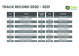#### **TRACK RECORD 2020 - 2021**



| <b>AÑO</b> | <b>PLANTA</b>                                              | <b>POTENCIA</b><br>(MW) | <b>PAIS</b>   | <b>ACTIVIDAD</b>                                                |
|------------|------------------------------------------------------------|-------------------------|---------------|-----------------------------------------------------------------|
| 2020       | <b>PV VENDIMIA</b>                                         | 5                       | <b>ESPAÑA</b> | <b>OBRAS CIVILES</b>                                            |
| 2020       | <b>PV AUGUSTO - APOYO A</b><br><b>LAS OBRAS ELÉCTRICAS</b> | 50                      | <b>ESPAÑA</b> | <b>OBRAS ELÉCTRICAS</b>                                         |
| 2020       | PV PLANT "LA NAVA" -<br><b>MEJORAS TÉCNICAS</b>            | 50                      | <b>ESPAÑA</b> | <b>OBRAS CIVILES</b>                                            |
| 2020       | <b>PV TALAYUELA</b>                                        | 150                     | <b>ESPAÑA</b> | <b>OBRAS ELÉCTRICAS</b>                                         |
| 2020       | PV MOCTEZUMA SLP (POTOSÍ)                                  | 100                     | <b>MEXICO</b> | <b>EVALUACIÓN Y DISEÑO DE LA</b><br><b>VIABILIDAD ECONÓMICA</b> |
| 2020       | <b>PV SAN MIGUEL (HIDALGO)</b>                             | 180                     | <b>MEXICO</b> | <b>EVALUACIÓN Y DISEÑO DE LA</b><br><b>VIABILIDAD ECONÓMICA</b> |
| 2020       | <b>PV EL MINERAL (ZACATECAS)</b>                           | 160                     | <b>MEXICO</b> | <b>EVALUACIÓN Y DISEÑO DE LA</b><br><b>VIABILIDAD ECONÓMICA</b> |
| 2020       | PV LA ESPERANZA (ESTADO DE MEXICO)                         | 120                     | <b>MEXICO</b> | <b>EVALUACIÓN Y DISEÑO DE LA</b><br><b>VIABILIDAD ECONÓMICA</b> |
| 2020       | PV EL MAYO (SONORA)                                        | 125                     | <b>MEXICO</b> | <b>EVALUACIÓN Y DISEÑO DE LA</b><br><b>VIABILIDAD ECONÓMICA</b> |
| 2020       | PV SANTIZ, SALAMANCA                                       | 10                      | <b>ESPAÑA</b> | <b>OBRAS CIVILES</b>                                            |
| 2020       | <b>PV BELOS, ZARAGOZA</b>                                  | 25                      | <b>ESPAÑA</b> | <b>OBRAS CIVILES</b>                                            |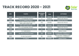#### **TRACK RECORD 2020 - 2021**



| <b>AÑO</b> | <b>PLANTA</b>                                                 | <b>POTENCIA</b><br>(MW) | <b>PAIS</b>    | <b>ACTIVIDAD</b>                                                |
|------------|---------------------------------------------------------------|-------------------------|----------------|-----------------------------------------------------------------|
| 2020       | PV PICON ARREGLOS MECÁNICOS                                   | 50                      | <b>ESPAÑA</b>  | <b>OBRAS MECÁNICAS</b>                                          |
| 2020       | <b>PV LA SOTERRAINE FRANCE</b>                                | 3                       | <b>FRANCIA</b> | <b>OBRAS ELÉCTRICAS</b>                                         |
| 2020       | <b>PV LA CABRERA SEVILLA</b>                                  | 50                      | <b>ESPAÑA</b>  | <b>OBRAS ELÉCTRICAS</b>                                         |
| 2020       | PV EL BONAL PUERTOLLANO CIUDAD<br><b>REAL FIXED STRUCTURE</b> | 79,2                    | <b>ESPAÑA</b>  | <b>OBRAS ELÉCTRICAS</b>                                         |
| 2020       | PV EL BONAL PUERTOLLANO CIUDAD<br><b>REAL FIXED STRUCTURE</b> | 21,6                    | <b>ESPAÑA</b>  | <b>OBRAS MECÁNICAS</b>                                          |
| 2020       | <b>PV LA SOTERRAINE FRANCE</b>                                | 3                       | <b>FRANCIA</b> | <b>OBRAS ELÉCTRICAS</b>                                         |
| 2020       | PV MORATALLA SUSTITUCIÓN MÓDULOS                              | $\overline{6}$          | <b>ESPAÑA</b>  | <b>OBRAS CIVILES</b>                                            |
| 2020       | <b>PV TURRONEROS</b>                                          | 35                      | <b>ESPAÑA</b>  | <b>OBRAS CIVILES</b>                                            |
| 2020       | PV TRILLO (GUADALAJARA)                                       | 200                     | <b>ESPAÑA</b>  | <b>EVALUACIÓN Y DISEÑO DE LA</b><br><b>VIABILIDAD ECONÓMICA</b> |
| 2020       | <b>PV SAX (ALICANTE)</b>                                      | 120                     | <b>ESPAÑA</b>  | EVALUACIÓN Y DISEÑO DE LA<br><b>VIABILIDAD ECONÓMICA</b>        |
| 2020       | <b>PV PINILLA</b>                                             | 25                      | <b>ESPAÑA</b>  | <b>OBRAS CIVILES</b>                                            |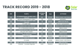#### **TRACK RECORD 2019 - 2018**



| <b>AÑO</b> | <b>PLANTA</b>                                                      | <b>POTENCIA</b><br>(MW) | <b>PAIS</b>    | <b>ACTIVIDAD</b>                  |
|------------|--------------------------------------------------------------------|-------------------------|----------------|-----------------------------------|
| 2019       | PV INGENOSTRUM CÁCERES 1 AXIS<br><b>TRACKER</b>                    | 126                     | <b>ESPAÑA</b>  | <b>OBRAS CIVILES Y ELÉCTRICAS</b> |
| 2019       | <b>DETAILED ENGINEERING PV TENA I</b>                              | 50                      | <b>ESPAÑA</b>  | <b>INGENIERÍA</b>                 |
| 2019       | <b>PV CAMPANARIO ALBACETE 1 AXIS</b><br><b>TRACKER</b>             | 40                      | <b>ESPAÑA</b>  | <b>OBRAS ELÉCTRICAS</b>           |
| 2019       | PV LOMÉ 3 MW                                                       | 3                       | <b>TOGO</b>    | <b>PROJECT MANAGEMENT</b>         |
| 2019       | PV ALMERIA IMW I AXIS TRACKER                                      |                         | <b>ESPAÑA</b>  | <b>OBRAS CIVILES Y ELÉCTRICAS</b> |
| 2019       | <b>PV LA FERNANDINA BADAJOZ</b>                                    | 20                      | <b>ESPAÑA</b>  | <b>OBRAS CIVILES</b>              |
| 2019       | <b>PV CARMONA SEVILLA 1 AXIS TRACKER</b>                           | 50                      | <b>ESPAÑA</b>  | <b>OBRAS CIVILES</b>              |
| 2019       | PULL OUT TEST TOLEDO                                               | 5                       | <b>ESPAÑA</b>  | <b>OBRAS CIVILES</b>              |
| 2019       | <b>PV GUILLENA - PV MODULES ASSEMBLY</b><br><b>FIXED STRUCTURE</b> | 18,5                    | <b>ESPAÑA</b>  | <b>OBRAS CIVILES</b>              |
| 2019       | <b>CASTELLET 2</b>                                                 | 3,76                    | <b>FRANCIA</b> | <b>OBRA ELÉCTRICA</b>             |
| 2019       | <b>PV TCO2 TORRES DE COTILLAS</b>                                  | 6,16                    | <b>ESPAÑA</b>  | <b>OBRAS CIVILES</b>              |
| 2019       | <b>PV EUDER</b>                                                    | 126                     | <b>ESPAÑA</b>  | <b>OBRAS CIVILES Y ELÉCTRICAS</b> |
| 2019       | PAGAP -Saint-Étienne-de-Saint-Geoirs                               | 3,76                    | <b>FRANCIA</b> | <b>OBRA ELÉCTRICA</b>             |
| 2019       | <b>CANADEL - Canadel, Brignoles</b>                                | 10,36                   | <b>FRANCIA</b> | <b>OBRA ELÉCTRICA</b>             |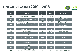#### **TRACK RECORD 2019 - 2018**



| <b>AÑO</b> | <b>PLANTA</b>                                                  | <b>POTENCIA</b><br>(MW) | <b>PAIS</b>     | <b>ACTIVIDAD</b>                       |
|------------|----------------------------------------------------------------|-------------------------|-----------------|----------------------------------------|
| 2018       | 96 PV GREENHOUSES - Torreilles                                 | 10                      | <b>FRANCIA</b>  | BOP + INVERSOR +<br><b>ESTRUCTURAS</b> |
| 2018       | <b>VERGERS -Mudaison, Languedoc</b>                            | 2,75                    | <b>FRANCIA</b>  | BOP + INVERSOR +<br><b>ESTRUCTURAS</b> |
| 2018       | <b>ESCOFFIER-Bouillargues, Languedoc</b>                       | 2,25                    | <b>FRANCIA</b>  | BOP + INVERSOR +<br><b>ESTRUCTURAS</b> |
| 2018       | <b>COUVOIR CEVENNES - Marguerittes,</b><br>Languedoc           | 1,15                    | <b>FRANCIA</b>  | BOP + INVERSOR +<br><b>ESTRUCTURAS</b> |
| 2018       | <b>KUMAMOTO YAMATO</b>                                         | 1,5                     | <b>JAPÓN</b>    | <b>EPC</b>                             |
| 2018       | YAMAGARA YONEZAWA                                              | 2,4                     | <b>JAPÓN</b>    | <b>EPC</b>                             |
| 2018       | <b>ALCACER DO SAL</b>                                          | 7,2                     | <b>PORTUGAL</b> | <b>OBRAS MECÁNICAS</b>                 |
| 2018       | <b>EL CARDON</b>                                               |                         | <b>ESPAÑA</b>   | <b>EPC</b>                             |
| 2018       | <b>ANDRIA-BAT</b>                                              | 0,99                    | <b>ITALIA</b>   | <b>EPCM</b>                            |
| 2018       | <b>PICCOLO CARLO-Lecce</b>                                     | 0,99                    | <b>ITALIA</b>   | <b>EPCM</b>                            |
| 2018       | $D/ANGELA - Bat$                                               | 0,93                    | <b>ITALIA</b>   | <b>EPCM</b>                            |
| 2018       | <b>ACQUAFRESCA - Bat</b>                                       | 0,97                    | <b>ITALIA</b>   | <b>EPCM</b>                            |
| 2018       | CIOTTA - Foggia                                                | 0,88                    | <b>ITALIA</b>   | <b>EPCM</b>                            |
| 2018       | <b>PEDALE -Bat</b>                                             | 2,93                    | <b>ITALIA</b>   | <b>EPCM</b>                            |
| 2018       | DALE FARM - MAGHERAFELT,<br><b>COOKSTOWN, NORTHERN IRELAND</b> | 5                       | <b>UK</b>       | <b>OBRA CIVILES Y ELÉCTRICAS</b>       |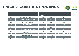

| <b>AÑO</b> | <b>PLANTA</b>                                 | <b>POTENCIA</b><br>(MW) | <b>PAIS</b>  | <b>ACTIVIDAD</b>          |
|------------|-----------------------------------------------|-------------------------|--------------|---------------------------|
| 2017       | <b>CORNTOWN-Bridgend, Wales</b>               | 2,4                     | <b>UK</b>    | <b>BOP</b>                |
| 2017       | AINDERBY - AinderbySteeple                    | 1,44                    | <b>UK</b>    | <b>OBRA CIVIL</b>         |
| 2017       | <b>HAIGH HALL -Tingley</b>                    | 4,99                    | <b>UK</b>    | <b>EPCM</b>               |
| 2017       | <b>AOMORI MISAWA</b>                          | 1,37                    | <b>JAPON</b> | <b>EPC</b>                |
| 2017       | HOME FARM -StGeorges, Cardiff                 | 1,75                    | <b>UK</b>    | <b>BOP</b>                |
| 2017       | WHITTOM MAWR -Dyffryn, Wales                  | 1,37                    | <b>UK</b>    | <b>BOP</b>                |
| 2017       | DAYFIELDS - Ashbourne<br><b>Northallerton</b> | 1,38                    | <b>UK</b>    | <b>BOP</b>                |
| 2017       | <b>IBARAKI HOKOTA</b>                         | 21,5                    | <b>JAPON</b> | <b>TRABAJOS MECÁNICOS</b> |
| 2017       | <b>HIROSHIMA AKITAKATA</b>                    | 0,72                    | <b>JAPON</b> | <b>EPC</b>                |
| 2017       | <b>SAITAMA HIKI YOSHIMI</b>                   | 1,75                    | <b>JAPON</b> | <b>EPC</b>                |
| 2017       | <b>IBARAKI ISHIOKA</b>                        | 1,75                    | <b>JAPON</b> | <b>EPC</b>                |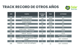

| <b>AÑO</b> | <b>PLANTA</b>                                       | <b>POTENCIA</b><br>(MW) | <b>PAIS</b>  | <b>ACTIVIDAD</b>                              |
|------------|-----------------------------------------------------|-------------------------|--------------|-----------------------------------------------|
| 2016       | <b>GIFU NAKARSUGAWA</b>                             | 0,6                     | <b>JAPON</b> | <b>EPC</b>                                    |
| 2016       | <b>SAITAMA SHIROISHI</b>                            | 1,38                    | <b>JAPON</b> | <b>EPC</b>                                    |
| 2016       | <b>SHIZUOKA TASHIRO</b>                             | 1,44                    | <b>JAPON</b> | <b>EPC</b>                                    |
| 2016       | <b>AOMORI MISAWA</b>                                | 10,3                    | <b>JAPON</b> | <b>EPC</b>                                    |
| 2016       | <b>KOBA</b>                                         | 2,2                     | <b>JAPON</b> | <b>EPC</b>                                    |
| 2016       | <b>TOYAMA</b>                                       | 1,8                     | <b>JAPON</b> | <b>EPC</b>                                    |
| 2016       | <b>NOBEYAMA</b>                                     |                         | <b>JAPON</b> | <b>EPC</b>                                    |
| 2016       | <b>SHORT HAZEL -Hastshorne</b>                      | 10,3                    | <b>UK</b>    | <b>EPCM</b>                                   |
| 2016       | <b>GUILLEYS DAM - Conrwall</b>                      | 2,2                     | <b>UK</b>    | <b>EPCM</b>                                   |
| 2016       | <b>PERELEE -Durham</b>                              | 1,8                     | <b>UK</b>    | <b>EPCM</b>                                   |
| 2015       | <b>EPWELL -Epwell, Banbury</b>                      |                         | <b>UK</b>    | <b>BOP + INVERSOR +</b><br><b>ESTRUCTURAS</b> |
| 2015       | PRIORS BYNE -Partridge Green, West<br><b>Sussex</b> | 2,2                     | <b>UK</b>    | <b>BOP + INVERSOR</b>                         |
| 2015       | Ashbourne, Derbyshire<br><b>LADYHOLE</b>            | 2,2                     | <b>UK</b>    | <b>BOP + INVERSOR</b>                         |
| 2015       | TONEDALE -Linden Hill, wellington,                  | 2,2                     | <b>UK</b>    | <b>BOP + INVERSOR</b>                         |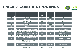

| <b>AÑO</b> | <b>PLANTA</b>                                      | <b>POTENCIA</b><br>(MW) | <b>PAIS</b>     | <b>ACTIVIDAD</b>              |
|------------|----------------------------------------------------|-------------------------|-----------------|-------------------------------|
| 2015       | <b>TOMIGAOKA</b>                                   | 2,2                     | <b>JAPON</b>    | <b>EPC</b>                    |
| 2015       | <b>TSUKUBA STONE</b>                               | 2,2                     | <b>JAPON</b>    | <b>EPC</b>                    |
| 2015       | <b>TSUKUBA HOLE</b>                                | 2,2                     | <b>JAPON</b>    | <b>EPC</b>                    |
| 2015       | <b>FUKORODA</b>                                    | 32                      | <b>JAPON</b>    | <b>EPC</b>                    |
| 2015       | <b>SAKURAGAWA</b>                                  | 1,61                    | <b>JAPON</b>    | <b>EPC</b>                    |
| 2015       | <b>TAKAHAGI</b>                                    | 12,4                    | <b>JAPON</b>    | <b>EPC</b>                    |
| 2015       | PADDLEY WOOD -Pilsley, Chesterfield                | 32                      | <b>UK</b>       | <b>BOP + INVERSOR</b>         |
| 2015       | SOWERBY -Sowerby, North Yorkshire                  | 1,61                    | <b>UK</b>       | <b>BOP + INVERSOR</b>         |
| 2015       | SHEEPBRIDGE -Swallowfield, Reading                 | 12,4                    | <b>UK</b>       | <b>BOP + INVERSOR</b>         |
| 2015       | <b>SHORT HAZEL -Swadlincote, Derbyshire</b>        | 2,25                    | <b>UK</b>       | <b>BOP + INVERSOR</b>         |
| 2015       | FRANCIS COURT - Poltimore, Devon,<br><b>Exeter</b> | 5                       | <b>UK</b>       | <b>OBRA CIVIL Y ELÉCTRICA</b> |
| 2014       | ABBOTS RIPTON - Abbots Ripton,<br>Cambridgeshire   | 4,99                    | <b>UK</b>       | <b>OBRA MECÁNICA</b>          |
| 2014       | <b>CORUCHE-Herdade dos Pegos, Coruche</b>          | 9,68                    | <b>PORTUGAL</b> | <b>BOP + INVERSOR</b>         |
| 2014       | <b>TSUKUBA MIRAI</b>                               | 2,25                    | <b>JAPON</b>    | <b>EPC</b>                    |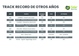

| <b>AÑO</b> | <b>PLANTA</b>                                   | <b>POTENCIA</b><br>$\overline{\text{(MW)}}$ | <b>PAIS</b>     | <b>ACTIVIDAD</b>      |
|------------|-------------------------------------------------|---------------------------------------------|-----------------|-----------------------|
| 2014       | <b>CHISBON -Frowick Lane, Essex</b>             | 2,4                                         | <b>UK</b>       | <b>EPC</b>            |
| 2014       | MINGAY -Willburton, Cambridgeshire              | 2,2                                         | <b>UK</b>       | <b>EPC</b>            |
| 2014       | CLAWWD-Clawwd Du, Monmouth                      | 1,75                                        | <b>UK</b>       | <b>EPC</b>            |
| 2014       | NORRINGTON -Norrington, Milton<br><b>Keynes</b> | 32                                          | <b>UK</b>       | <b>EPC</b>            |
| 2014       | <b>MOLLAND -Molland, South Molton</b>           | 10,3                                        | <b>UK</b>       | <b>EPC</b>            |
| 2014       | <b>CONDOVER -Shrewsbury, Shropshire</b>         | 12,4                                        | <b>UK</b>       | <b>EPC</b>            |
| 2014       | <b>INOV - Vilares, Muro</b>                     | $\overline{2}$                              | <b>PORTUGAL</b> | <b>BOP + INVERSOR</b> |
| 2014       | WILTON -Trerulefoot, Cornwall, Devon            | 9,48                                        | <b>UK</b>       | <b>BOP + INVERSOR</b> |
| 2014       | RYDON - Ogwell Teignbridge, Devon               | 2,25                                        | <b>UK</b>       | <b>EPC</b>            |